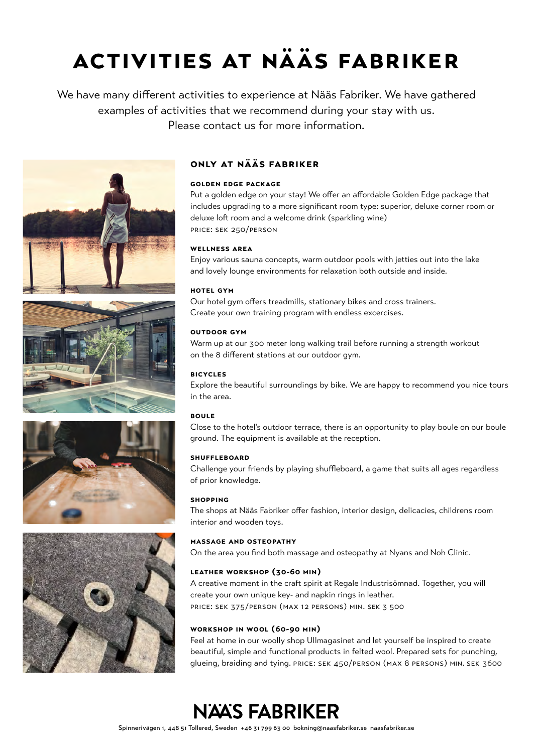# **activities at nääs fabriker**

We have many different activities to experience at Nääs Fabriker. We have gathered examples of activities that we recommend during your stay with us. Please contact us for more information.









### **only at nääs fabriker**

### **golden edge package**

Put a golden edge on your stay! We offer an affordable Golden Edge package that includes upgrading to a more significant room type: superior, deluxe corner room or deluxe loft room and a welcome drink (sparkling wine) price: sek 250/person

### **wellness area**

Enjoy various sauna concepts, warm outdoor pools with jetties out into the lake and lovely lounge environments for relaxation both outside and inside.

### **hotel gym**

Our hotel gym offers treadmills, stationary bikes and cross trainers. Create your own training program with endless excercises.

### **outdoor gym**

Warm up at our 300 meter long walking trail before running a strength workout on the 8 different stations at our outdoor gym.

### **bicycles**

Explore the beautiful surroundings by bike. We are happy to recommend you nice tours in the area.

### **boule**

Close to the hotel's outdoor terrace, there is an opportunity to play boule on our boule ground. The equipment is available at the reception.

### **shuffleboard**

Challenge your friends by playing shuffleboard, a game that suits all ages regardless of prior knowledge.

### **shopping**

The shops at Nääs Fabriker offer fashion, interior design, delicacies, childrens room interior and wooden toys.

### **massage and osteopathy**

On the area you find both massage and osteopathy at Nyans and Noh Clinic.

### **leather workshop (30-60 min)**

A creative moment in the craft spirit at Regale Industrisömnad. Together, you will create your own unique key- and napkin rings in leather. price: sek 375/person (max 12 persons) min. sek 3 500

### **workshop in wool (60-90 min)**

Feel at home in our woolly shop Ullmagasinet and let yourself be inspired to create beautiful, simple and functional products in felted wool. Prepared sets for punching, glueing, braiding and tying. price: sek 450/person (max 8 persons) min. sek 3600

### **NAAS FABRIKER**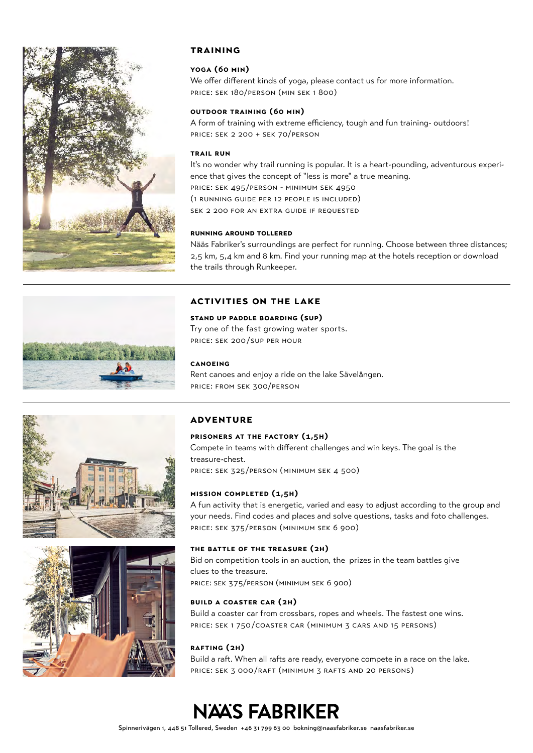

### **training**

### **yoga (60 min)**

We offer different kinds of yoga, please contact us for more information. price: sek 180/person (min sek 1 800)

### **outdoor training (60 min)**

A form of training with extreme efficiency, tough and fun training- outdoors! price: sek 2 200 + sek 70/person

### **trail run**

It's no wonder why trail running is popular. It is a heart-pounding, adventurous experience that gives the concept of "less is more" a true meaning. price: sek 495/person - minimum sek 4950 (1 running guide per 12 people is included) sek 2 200 for an extra guide if requested

### **running around tollered**

Nääs Fabriker's surroundings are perfect for running. Choose between three distances; 2,5 km, 5,4 km and 8 km. Find your running map at the hotels reception or download the trails through Runkeeper.

### **activities on the lake**

### **stand up paddle boarding (sup)**

Try one of the fast growing water sports. price: sek 200 /sup per hour

### **canoeing**

Rent canoes and enjoy a ride on the lake Sävelången. price: from sek 300/person





### **adventure**

### **prisoners at the factory (1,5h)**

Compete in teams with different challenges and win keys. The goal is the treasure-chest. price: sek 325/person (minimum sek 4 500)

### **mission completed (1,5h)**

A fun activity that is energetic, varied and easy to adjust according to the group and your needs. Find codes and places and solve questions, tasks and foto challenges. price: sek 375/person (minimum sek 6 900)

### **the battle of the treasure (2h)**

Bid on competition tools in an auction, the prizes in the team battles give clues to the treasure. price: sek 375/person (minimum sek 6 900)

### **build a coaster car (2h)**

Build a coaster car from crossbars, ropes and wheels. The fastest one wins. price: sek 1 750 /coaster car (minimum 3 cars and 15 persons)

### **rafting (2h)**

Build a raft. When all rafts are ready, everyone compete in a race on the lake. price: sek 3 000 /raft (minimum 3 rafts and 20 persons)

## **NÄÄS FABRIKER**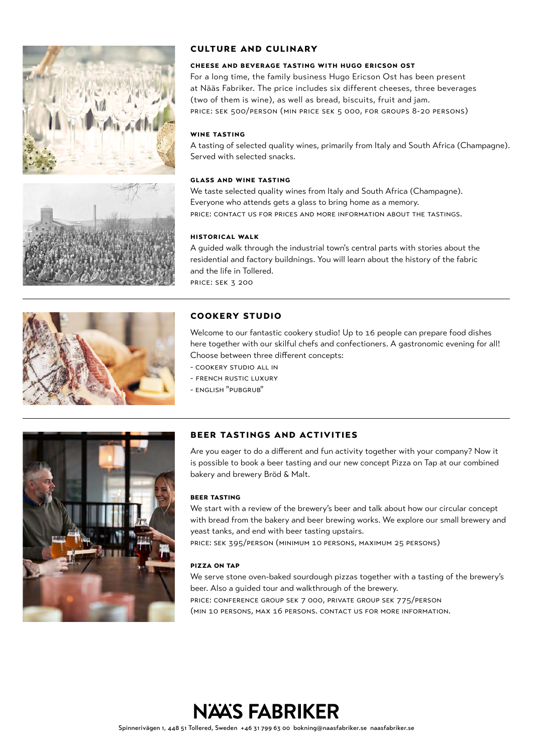





### **culture and culinary**

### **cheese and beverage tasting with hugo ericson ost**

For a long time, the family business Hugo Ericson Ost has been present at Nääs Fabriker. The price includes six different cheeses, three beverages (two of them is wine), as well as bread, biscuits, fruit and jam. price: sek 500/person (min price sek 5 000, for groups 8-20 persons)

### **wine tasting**

A tasting of selected quality wines, primarily from Italy and South Africa (Champagne). Served with selected snacks.

### **glass and wine tasting**

We taste selected quality wines from Italy and South Africa (Champagne). Everyone who attends gets a glass to bring home as a memory. price: contact us for prices and more information about the tastings.

### **historical walk**

A guided walk through the industrial town's central parts with stories about the residential and factory buildnings. You will learn about the history of the fabric and the life in Tollered. price: sek 3 200

### **cookery studio**

Welcome to our fantastic cookery studio! Up to 16 people can prepare food dishes here together with our skilful chefs and confectioners. A gastronomic evening for all! Choose between three different concepts:

- cookery studio all in
- french rustic luxury
- english "pubgrub"



### **beer tastings and activities**

Are you eager to do a different and fun activity together with your company? Now it is possible to book a beer tasting and our new concept Pizza on Tap at our combined bakery and brewery Bröd & Malt.

### **beer tasting**

We start with a review of the brewery's beer and talk about how our circular concept with bread from the bakery and beer brewing works. We explore our small brewery and yeast tanks, and end with beer tasting upstairs.

price: sek 395/person (minimum 10 persons, maximum 25 persons)

### **pizza on tap**

We serve stone oven-baked sourdough pizzas together with a tasting of the brewery's beer. Also a guided tour and walkthrough of the brewery. price: conference group sek 7 000, private group sek 775/person (min 10 persons, max 16 persons. contact us for more information.